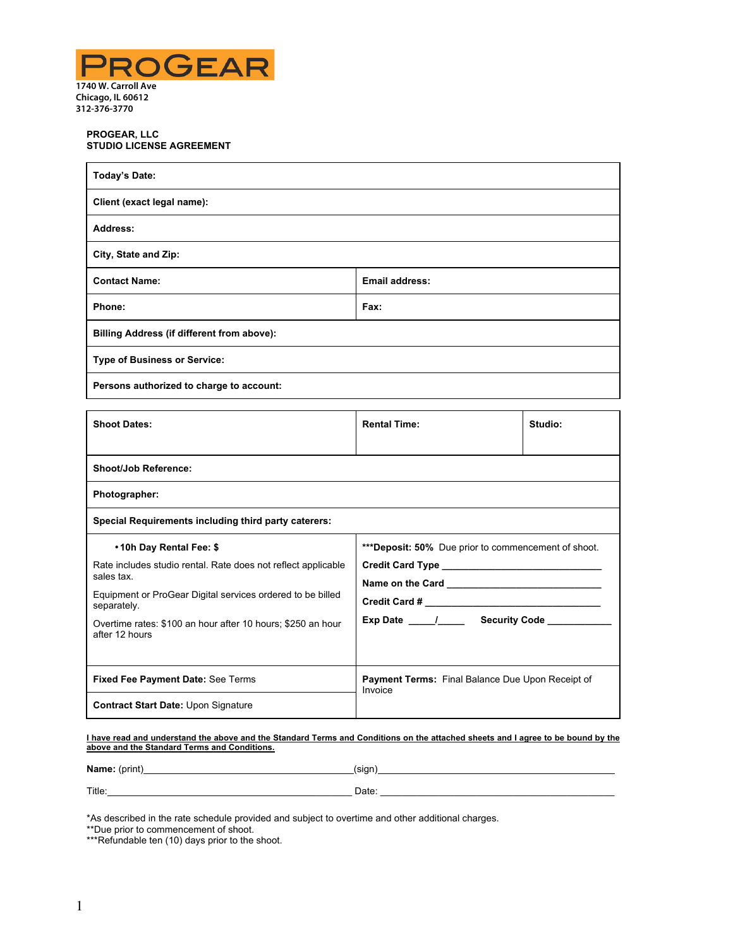

## **PROGEAR, LLC STUDIO LICENSE AGREEMENT**

| <b>Today's Date:</b>                       |                       |  |
|--------------------------------------------|-----------------------|--|
| Client (exact legal name):                 |                       |  |
| Address:                                   |                       |  |
| City, State and Zip:                       |                       |  |
| <b>Contact Name:</b>                       | <b>Email address:</b> |  |
| Phone:                                     | Fax:                  |  |
| Billing Address (if different from above): |                       |  |
| <b>Type of Business or Service:</b>        |                       |  |
| Persons authorized to charge to account:   |                       |  |

| <b>Shoot Dates:</b>                                                           | <b>Rental Time:</b>                                                | Studio: |  |
|-------------------------------------------------------------------------------|--------------------------------------------------------------------|---------|--|
|                                                                               |                                                                    |         |  |
| <b>Shoot/Job Reference:</b>                                                   |                                                                    |         |  |
| Photographer:                                                                 |                                                                    |         |  |
| Special Requirements including third party caterers:                          |                                                                    |         |  |
| •10h Day Rental Fee: \$                                                       | <b>***Deposit: 50%</b> Due prior to commencement of shoot.         |         |  |
| Rate includes studio rental. Rate does not reflect applicable<br>sales tax.   |                                                                    |         |  |
| Equipment or ProGear Digital services ordered to be billed<br>separately.     |                                                                    |         |  |
| Overtime rates: \$100 an hour after 10 hours; \$250 an hour<br>after 12 hours |                                                                    |         |  |
|                                                                               |                                                                    |         |  |
| <b>Fixed Fee Payment Date: See Terms</b>                                      | <b>Payment Terms:</b> Final Balance Due Upon Receipt of<br>Invoice |         |  |
| <b>Contract Start Date: Upon Signature</b>                                    |                                                                    |         |  |

### **I have read and understand the above and the Standard Terms and Conditions on the attached sheets and I agree to be bound by the above and the Standard Terms and Conditions***.*

| Name: (print) | (sign) |
|---------------|--------|
| Title:        | Date:  |

\*As described in the rate schedule provided and subject to overtime and other additional charges.

\*\*Due prior to commencement of shoot.

<sup>\*\*\*</sup>Refundable ten (10) days prior to the shoot.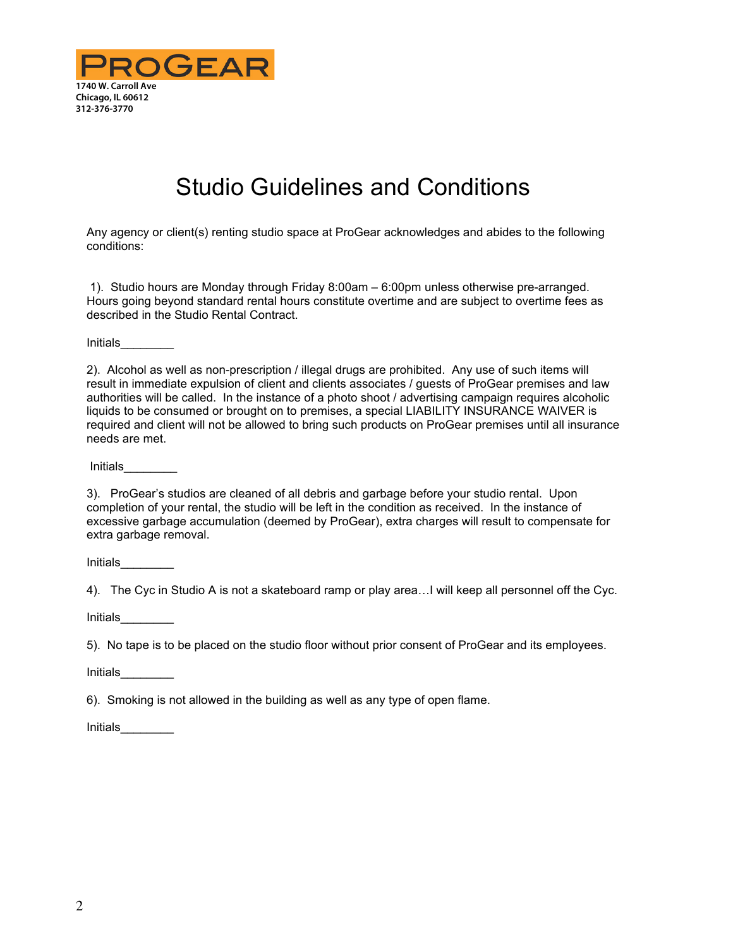

# Studio Guidelines and Conditions

Any agency or client(s) renting studio space at ProGear acknowledges and abides to the following conditions:

 1). Studio hours are Monday through Friday 8:00am – 6:00pm unless otherwise pre-arranged. Hours going beyond standard rental hours constitute overtime and are subject to overtime fees as described in the Studio Rental Contract.

Initials\_\_\_\_\_\_\_\_

2). Alcohol as well as non-prescription / illegal drugs are prohibited. Any use of such items will result in immediate expulsion of client and clients associates / guests of ProGear premises and law authorities will be called. In the instance of a photo shoot / advertising campaign requires alcoholic liquids to be consumed or brought on to premises, a special LIABILITY INSURANCE WAIVER is required and client will not be allowed to bring such products on ProGear premises until all insurance needs are met.

Initials\_\_\_\_\_\_\_\_

3). ProGear's studios are cleaned of all debris and garbage before your studio rental. Upon completion of your rental, the studio will be left in the condition as received. In the instance of excessive garbage accumulation (deemed by ProGear), extra charges will result to compensate for extra garbage removal.

Initials\_\_\_\_\_\_\_\_

4). The Cyc in Studio A is not a skateboard ramp or play area…I will keep all personnel off the Cyc.

Initials\_\_\_\_\_\_\_\_

5). No tape is to be placed on the studio floor without prior consent of ProGear and its employees.

Initials\_\_\_\_\_\_\_\_

6). Smoking is not allowed in the building as well as any type of open flame.

Initials\_\_\_\_\_\_\_\_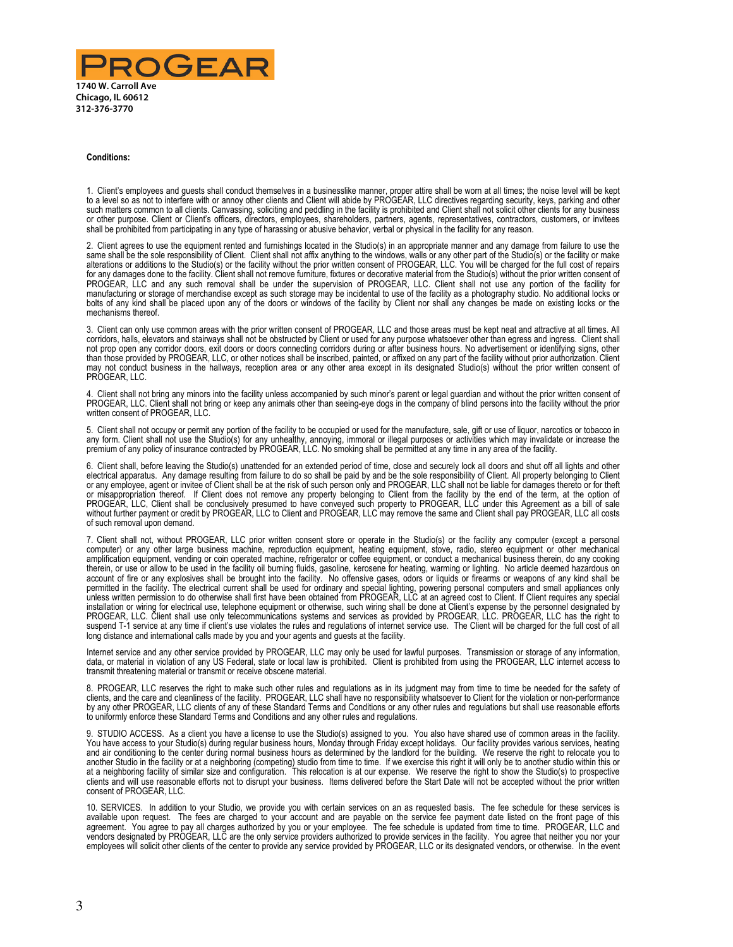

#### **Conditions:**

1. Client's employees and guests shall conduct themselves in a businesslike manner, proper attire shall be worn at all times; the noise level will be kept<br>to a level so as not to interfere with or annoy other clients and C such matters common to all clients. Canvassing, soliciting and peddling in the facility is prohibited and Client shall not solicit other clients for any business or other purpose. Client or Client's officers, directors, employees, shareholders, partners, agents, representatives, contractors, customers, or invitees shall be prohibited from participating in any type of harassing or abusive behavior, verbal or physical in the facility for any reason.

2. Client agrees to use the equipment rented and furnishings located in the Studio(s) in an appropriate manner and any damage from failure to use the same shall be the sole responsibility of Client. Client shall not affix anything to the windows, walls or any other part of the Studio(s) or the facility or make<br>alterations or additions to the Studio(s) or the facility w for any damages done to the facility. Client shall not remove furniture, fixtures or decorative material from the Studio(s) without the prior written consent of PROGEAR, LLC and any such removal shall be under the supervision of PROGEAR, LLC. Client shall not use any portion of the facility for manufacturing or storage of merchandise except as such storage may be incidental to use of the facility as a photography studio. No additional locks or bolts of any kind shall be placed upon any of the doors or windows of the facility by Client nor shall any changes be made on existing locks or the mechanisms thereof.

3. Client can only use common areas with the prior written consent of PROGEAR, LLC and those areas must be kept neat and attractive at all times. All corridors, halls, elevators and stairways shall not be obstructed by Client or used for any purpose whatsoever other than egress and ingress. Client shall not prop open any corridor doors, exit doors or doors connecting corridors during or after business hours. No advertisement or identifying signs, other<br>than those provided by PROGEAR, LLC, or other notices shall be inscrib may not conduct business in the hallways, reception area or any other area except in its designated Studio(s) without the prior written consent of PROGEAR, LLC.

4. Client shall not bring any minors into the facility unless accompanied by such minor's parent or legal guardian and without the prior written consent of PROGEAR, LLC. Client shall not bring or keep any animals other than seeing-eye dogs in the company of blind persons into the facility without the prior written consent of PROGEAR, LLC.

5. Client shall not occupy or permit any portion of the facility to be occupied or used for the manufacture, sale, gift or use of liquor, narcotics or tobacco in any form. Client shall not use the Studio(s) for any unhealthy, annoying, immoral or illegal purposes or activities which may invalidate or increase the premium of any policy of insurance contracted by PROGEAR, LLC. No smoking shall be permitted at any time in any area of the facility.

6. Client shall, before leaving the Studio(s) unattended for an extended period of time, close and securely lock all doors and shut off all lights and other electrical apparatus. Any damage resulting from failure to do so shall be paid by and be the sole responsibility of Client. All property belonging to Client or any employee, agent or invitee of Client shall be at the risk of such person only and PROGEAR, LLC shall not be liable for damages thereto or for theft or misappropriation thereof. If Client does not remove any property belonging to Client from the facility by the end of the term, at the option of<br>PROGEAR, LLC, Client shall be conclusively presumed to have conveyed such p without further payment or credit by PROGEAR, LLC to Client and PROGEAR, LLC may remove the same and Client shall pay PROGEAR, LLC all costs of such removal upon demand.

7. Client shall not, without PROGEAR, LLC prior written consent store or operate in the Studio(s) or the facility any computer (except a personal computer) or any other large business machine, reproduction equipment, heating equipment, stove, radio, stereo equipment or other mechanical amplification equipment, vending or coin operated machine, refrigerator or coffee equipment, or conduct a mechanical business therein, do any cooking therein, or use or allow to be used in the facility oil burning fluids, gasoline, kerosene for heating, warming or lighting. No article deemed hazardous on account of fire or any explosives shall be brought into the facility. No offensive gases, odors or liquids or firearms or weapons of any kind shall be<br>permitted in the facility. The electrical current shall be used for ord installation or wiring for electrical use, telephone equipment or otherwise, such wiring shall be done at Client's expense by the personnel designated by<br>PROGEAR, LLC. Client shall use only telecommunications systems and s suspend T-1 service at any time if client's use violates the rules and regulations of internet service use. The Client will be charged for the full cost of all long distance and international calls made by you and your agents and guests at the facility.

Internet service and any other service provided by PROGEAR, LLC may only be used for lawful purposes. Transmission or storage of any information, data, or material in violation of any US Federal, state or local law is prohibited. Client is prohibited from using the PROGEAR, LLC internet access to transmit threatening material or transmit or receive obscene material.

8. PROGEAR, LLC reserves the right to make such other rules and regulations as in its judgment may from time to time be needed for the safety of clients, and the care and cleanliness of the facility. PROGEAR, LLC shall have no responsibility whatsoever to Client for the violation or non-performance by any other PROGEAR, LLC clients of any of these Standard Terms and Conditions or any other rules and regulations but shall use reasonable efforts to uniformly enforce these Standard Terms and Conditions and any other rules and regulations.

9. STUDIO ACCESS. As a client you have a license to use the Studio(s) assigned to you. You also have shared use of common areas in the facility. You have access to your Studio(s) during regular business hours, Monday through Friday except holidays. Our facility provides various services, heating<br>and air conditioning to the center during normal business hours as de at a neighboring facility of similar size and configuration. This relocation is at our expense. We reserve the right to show the Studio(s) to prospective<br>clients and will use reasonable efforts not to disrupt your business consent of PROGEAR, LLC.

10. SERVICES. In addition to your Studio, we provide you with certain services on an as requested basis. The fee schedule for these services is available upon request. The fees are charged to your account and are payable on the service fee payment date listed on the front page of this agreement. You agree to pay all charges authorized by you or your employee. The fee schedule is updated from time to time. PROGEAR, LLC and vendors designated by PROGEAR, LLC are the only service providers authorized to provide services in the facility. You agree that neither you nor your employees will solicit other clients of the center to provide any service provided by PROGEAR, LLC or its designated vendors, or otherwise. In the event